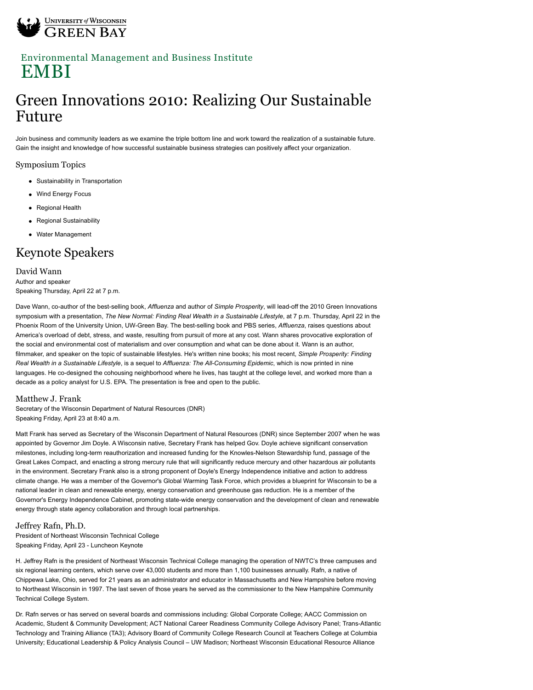

### [Environmental Management and Business Institute](http://www.uwgb.edu/embi/) EMBI

# Green Innovations 2010: Realizing Our Sustainable Future

Join business and community leaders as we examine the triple bottom line and work toward the realization of a sustainable future. Gain the insight and knowledge of how successful sustainable business strategies can positively affect your organization.

### Symposium Topics

- Sustainability in Transportation
- Wind Energy Focus
- Regional Health
- Regional Sustainability
- Water Management

## Keynote Speakers

#### David Wann

Author and speaker Speaking Thursday, April 22 at 7 p.m.

Dave Wann, co-author of the best-selling book, *Affluenza* and author of *Simple Prosperity*, will lead-off the 2010 Green Innovations symposium with a presentation, The New Normal: Finding Real Wealth in a Sustainable Lifestyle, at 7 p.m. Thursday, April 22 in the Phoenix Room of the University Union, UW-Green Bay. The best-selling book and PBS series, *Affluenza*, raises questions about America's overload of debt, stress, and waste, resulting from pursuit of more at any cost. Wann shares provocative exploration of the social and environmental cost of materialism and over consumption and what can be done about it. Wann is an author, filmmaker, and speaker on the topic of sustainable lifestyles. He's written nine books; his most recent, *Simple Prosperity: Finding Real Wealth in a Sustainable Lifestyle*, is a sequel to *Affluenza: The All-Consuming Epidemic*, which is now printed in nine languages. He co-designed the cohousing neighborhood where he lives, has taught at the college level, and worked more than a decade as a policy analyst for U.S. EPA. The presentation is free and open to the public.

### Matthew J. Frank

Secretary of the Wisconsin Department of Natural Resources (DNR) Speaking Friday, April 23 at 8:40 a.m.

Matt Frank has served as Secretary of the Wisconsin Department of Natural Resources (DNR) since September 2007 when he was appointed by Governor Jim Doyle. A Wisconsin native, Secretary Frank has helped Gov. Doyle achieve significant conservation milestones, including long-term reauthorization and increased funding for the Knowles-Nelson Stewardship fund, passage of the Great Lakes Compact, and enacting a strong mercury rule that will significantly reduce mercury and other hazardous air pollutants in the environment. Secretary Frank also is a strong proponent of Doyle's Energy Independence initiative and action to address climate change. He was a member of the Governor's Global Warming Task Force, which provides a blueprint for Wisconsin to be a national leader in clean and renewable energy, energy conservation and greenhouse gas reduction. He is a member of the Governor's Energy Independence Cabinet, promoting state-wide energy conservation and the development of clean and renewable energy through state agency collaboration and through local partnerships.

### Jeffrey Rafn, Ph.D.

President of Northeast Wisconsin Technical College Speaking Friday, April 23 - Luncheon Keynote

H. Jeffrey Rafn is the president of Northeast Wisconsin Technical College managing the operation of NWTC's three campuses and six regional learning centers, which serve over 43,000 students and more than 1,100 businesses annually. Rafn, a native of Chippewa Lake, Ohio, served for 21 years as an administrator and educator in Massachusetts and New Hampshire before moving to Northeast Wisconsin in 1997. The last seven of those years he served as the commissioner to the New Hampshire Community Technical College System.

Dr. Rafn serves or has served on several boards and commissions including: Global Corporate College; AACC Commission on Academic, Student & Community Development; ACT National Career Readiness Community College Advisory Panel; Trans-Atlantic Technology and Training Alliance (TA3); Advisory Board of Community College Research Council at Teachers College at Columbia University; Educational Leadership & Policy Analysis Council – UW Madison; Northeast Wisconsin Educational Resource Alliance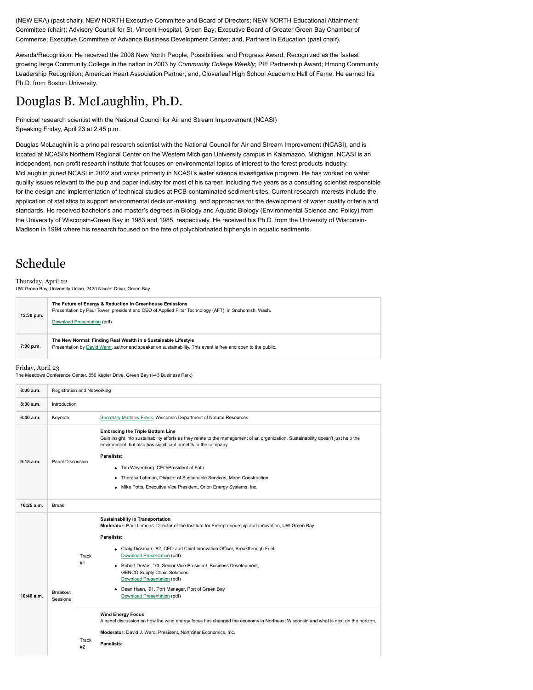(NEW ERA) (past chair); NEW NORTH Executive Committee and Board of Directors; NEW NORTH Educational Attainment Committee (chair); Advisory Council for St. Vincent Hospital, Green Bay; Executive Board of Greater Green Bay Chamber of Commerce; Executive Committee of Advance Business Development Center; and, Partners in Education (past chair).

Awards/Recognition: He received the 2008 New North People, Possibilities, and Progress Award; Recognized as the fastest growing large Community College in the nation in 2003 by *Community College Weekly*; PIE Partnership Award; Hmong Community Leadership Recognition; American Heart Association Partner; and, Cloverleaf High School Academic Hall of Fame. He earned his Ph.D. from Boston University.

### Douglas B. McLaughlin, Ph.D.

Principal research scientist with the National Council for Air and Stream Improvement (NCASI) Speaking Friday, April 23 at 2:45 p.m.

Douglas McLaughlin is a principal research scientist with the National Council for Air and Stream Improvement (NCASI), and is located at NCASI's Northern Regional Center on the Western Michigan University campus in Kalamazoo, Michigan. NCASI is an independent, non-profit research institute that focuses on environmental topics of interest to the forest products industry. McLaughlin joined NCASI in 2002 and works primarily in NCASI's water science investigative program. He has worked on water quality issues relevant to the pulp and paper industry for most of his career, including five years as a consulting scientist responsible for the design and implementation of technical studies at PCB-contaminated sediment sites. Current research interests include the application of statistics to support environmental decision-making, and approaches for the development of water quality criteria and standards. He received bachelor's and master's degrees in Biology and Aquatic Biology (Environmental Science and Policy) from the University of Wisconsin-Green Bay in 1983 and 1985, respectively. He received his Ph.D. from the University of Wisconsin-Madison in 1994 where his research focused on the fate of polychlorinated biphenyls in aquatic sediments.

# Schedule

Thursday, April 22 UW-Green Bay, University Union, 2420 Nicolet Drive, Green Bay

| 12:30 p.m. | The Future of Energy & Reduction in Greenhouse Emissions<br>Presentation by Paul Tower, president and CEO of Applied Filter Technology (AFT), in Snohomish, Wash.<br>Download Presentation (pdf) |
|------------|--------------------------------------------------------------------------------------------------------------------------------------------------------------------------------------------------|
| 7:00 p.m.  | The New Normal: Finding Real Wealth in a Sustainable Lifestyle<br>Presentation by David Wann, author and speaker on sustainability. This event is free and open to the public.                   |

#### Friday, April 23

The Meadows Conference Center, 850 Kepler Drive, Green Bay (I-43 Business Park)

| 8:00a.m.     | Registration and Networking         |                                                                                                                                                                                                                                                                                                                                                                                                                                                                                                                                                                                                                                                                        |  |  |
|--------------|-------------------------------------|------------------------------------------------------------------------------------------------------------------------------------------------------------------------------------------------------------------------------------------------------------------------------------------------------------------------------------------------------------------------------------------------------------------------------------------------------------------------------------------------------------------------------------------------------------------------------------------------------------------------------------------------------------------------|--|--|
|              |                                     |                                                                                                                                                                                                                                                                                                                                                                                                                                                                                                                                                                                                                                                                        |  |  |
| 8:30a.m.     | Introduction                        |                                                                                                                                                                                                                                                                                                                                                                                                                                                                                                                                                                                                                                                                        |  |  |
| 8:40 a.m.    | Keynote                             | Secretary Matthew Frank, Wisconsin Department of Natural Resources                                                                                                                                                                                                                                                                                                                                                                                                                                                                                                                                                                                                     |  |  |
| 9:15a.m.     | Panel Discussion                    | <b>Embracing the Triple Bottom Line</b><br>Gain insight into sustainability efforts as they relate to the management of an organization. Sustainability doesn't just help the<br>environment, but also has significant benefits to the company.<br>Panelists:<br>• Tim Weyenberg, CEO/President of Foth<br>Theresa Lehman, Director of Sustainable Services, Miron Construction<br>٠<br>• Mike Potts, Executive Vice President, Orion Energy Systems, Inc.                                                                                                                                                                                                             |  |  |
| 10:25 a.m.   | <b>Break</b>                        |                                                                                                                                                                                                                                                                                                                                                                                                                                                                                                                                                                                                                                                                        |  |  |
| $10:40$ a.m. | Track<br>#1<br>Breakout<br>Sessions | <b>Sustainability in Transportation</b><br>Moderator: Paul Lemens, Director of the Institute for Entrepreneurship and Innovation, UW-Green Bay<br>Panelists:<br>• Craig Dickman, '82, CEO and Chief Innovation Officer, Breakthrough Fuel<br>Download Presentation (pdf)<br>• Robert DeVos, '73, Senior Vice President, Business Development,<br><b>GENCO Supply Chain Solutions</b><br>Download Presentation (pdf)<br>• Dean Haen, '91, Port Manager, Port of Green Bay<br>Download Presentation (pdf)<br><b>Wind Energy Focus</b><br>A panel discussion on how the wind energy focus has changed the economy in Northeast Wisconsin and what is next on the horizon. |  |  |
|              | Track<br>#2                         | Moderator: David J. Ward, President, NorthStar Economics, Inc.<br>Panelists:                                                                                                                                                                                                                                                                                                                                                                                                                                                                                                                                                                                           |  |  |